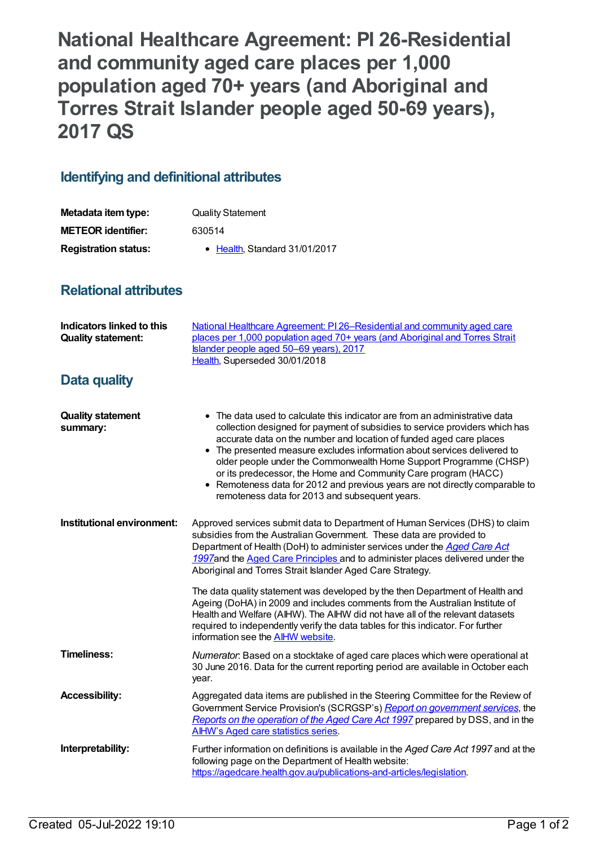**National Healthcare Agreement: PI 26-Residential and community aged care places per 1,000 population aged 70+ years (and Aboriginal and Torres Strait Islander people aged 50-69 years), 2017 QS**

## **Identifying and definitional attributes**

| Metadata item type:         | <b>Quality Statement</b>      |
|-----------------------------|-------------------------------|
| <b>METEOR identifier:</b>   | 630514                        |
| <b>Registration status:</b> | • Health. Standard 31/01/2017 |

## **Relational attributes**

| Indicators linked to this<br><b>Quality statement:</b> | National Healthcare Agreement: PI 26-Residential and community aged care<br>places per 1,000 population aged 70+ years (and Aboriginal and Torres Strait<br>Islander people aged 50–69 years), 2017<br>Health, Superseded 30/01/2018                                                                                                                                                                                                                                                                                                                                                   |
|--------------------------------------------------------|----------------------------------------------------------------------------------------------------------------------------------------------------------------------------------------------------------------------------------------------------------------------------------------------------------------------------------------------------------------------------------------------------------------------------------------------------------------------------------------------------------------------------------------------------------------------------------------|
| <b>Data quality</b>                                    |                                                                                                                                                                                                                                                                                                                                                                                                                                                                                                                                                                                        |
| <b>Quality statement</b><br>summary:                   | • The data used to calculate this indicator are from an administrative data<br>collection designed for payment of subsidies to service providers which has<br>accurate data on the number and location of funded aged care places<br>• The presented measure excludes information about services delivered to<br>older people under the Commonwealth Home Support Programme (CHSP)<br>or its predecessor, the Home and Community Care program (HACC)<br>• Remoteness data for 2012 and previous years are not directly comparable to<br>remoteness data for 2013 and subsequent years. |
| Institutional environment:                             | Approved services submit data to Department of Human Services (DHS) to claim<br>subsidies from the Australian Government. These data are provided to<br>Department of Health (DoH) to administer services under the Aged Care Act<br>1997and the Aged Care Principles and to administer places delivered under the<br>Aboriginal and Torres Strait Islander Aged Care Strategy.                                                                                                                                                                                                        |
|                                                        | The data quality statement was developed by the then Department of Health and<br>Ageing (DoHA) in 2009 and includes comments from the Australian Institute of<br>Health and Welfare (AIHW). The AIHW did not have all of the relevant datasets<br>required to independently verify the data tables for this indicator. For further<br>information see the AIHW website.                                                                                                                                                                                                                |
| <b>Timeliness:</b>                                     | Numerator. Based on a stocktake of aged care places which were operational at<br>30 June 2016. Data for the current reporting period are available in October each<br>year.                                                                                                                                                                                                                                                                                                                                                                                                            |
| <b>Accessibility:</b>                                  | Aggregated data items are published in the Steering Committee for the Review of<br>Government Service Provision's (SCRGSP's) Report on government services, the<br>Reports on the operation of the Aged Care Act 1997 prepared by DSS, and in the<br><b>AIHW's Aged care statistics series.</b>                                                                                                                                                                                                                                                                                        |
| Interpretability:                                      | Further information on definitions is available in the Aged Care Act 1997 and at the<br>following page on the Department of Health website:<br>https://agedcare.health.gov.au/publications-and-articles/legislation.                                                                                                                                                                                                                                                                                                                                                                   |